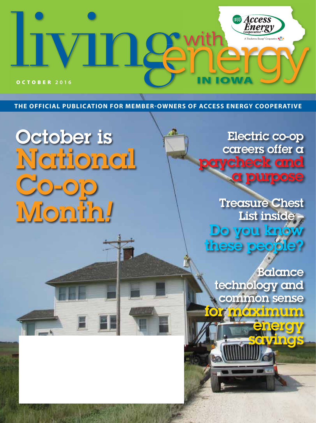

**THE OFFICIAL PUBLICATION FOR MEMBER-OWNERS OF ACCESS ENERGY COOPERATIVE**

# October is National Co-op Month*!*

Electric co-op careers offer a rcheck and a purpose

Treasure Chest List inside Do you know these peop

**Balance** technology and common sense **for digiting** 

energy

savings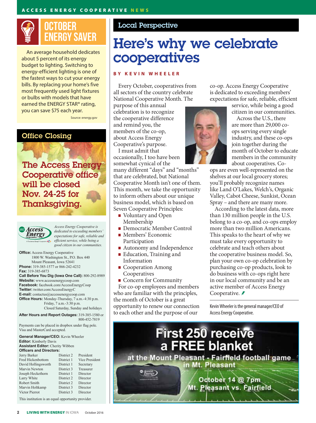

An average household dedicates about 5 percent of its energy budget to lighting. Switching to energy-efficient lighting is one of the fastest ways to cut your energy bills. By replacing your home's five most frequently used light fixtures or bulbs with models that have earned the ENERGY STAR® rating, you can save \$75 each year.

Source: energy.gov

### Office Closing

The Access Energy Cooperative office will be closed Nov. 24-25 for Thanksgiving.



*Access Energy Cooperative is dedicated to exceeding members' expectations for safe, reliable and*  ictix *efficient service, while being a good citizen in our communities.*

**Office:** Access Energy Cooperative 1800 W. Washington St., P.O. Box 440 Mount Pleasant, Iowa 52641 **Phone:** 319-385-1577 or 866-242-4232 **Fax:** 319-385-6873 **Call Before You Dig (Iowa One Call):** 800-292-8989 **Website:** www.accessenergycoop.com **Facebook:** facebook.com/AccessEnergyCoop **Twitter:** twitter.com/AccessEnergyC **E-mail:** contactus@accessenergycoop.com **Office Hours:** Monday-Thursday, 7 a.m.-4:30 p.m. Friday, 7 a.m.-3:30 p.m. Closed Saturday, Sunday and holidays **After Hours and Report Outages:** 319-385-1580 or 800-452-7819

Payments can be placed in dropbox under flag pole. Visa and MasterCard accepted.

| <b>General Manager/CEO:</b> Kevin Wheeler<br><b>Editor:</b> Kimberly Davis<br><b>Assistant Editor:</b> Cherity Wibben<br><b>Officers and Directors:</b> |            |           |                          |            |                |
|---------------------------------------------------------------------------------------------------------------------------------------------------------|------------|-----------|--------------------------|------------|----------------|
|                                                                                                                                                         |            |           | Jerry Barker             | District 2 | President      |
|                                                                                                                                                         |            |           | <b>Fred Hickenbottom</b> | District 1 | Vice President |
|                                                                                                                                                         |            |           | David Hollingsworth      | District 1 | Secretary      |
| Marvin Newton                                                                                                                                           | District 3 | Treasurer |                          |            |                |
| Joseph Heckethorn                                                                                                                                       | District 1 | Director  |                          |            |                |
| Larry White                                                                                                                                             | District 2 | Director  |                          |            |                |
| Robert Smith                                                                                                                                            | District 2 | Director  |                          |            |                |
| Marvin Holtkamp                                                                                                                                         | District 3 | Director  |                          |            |                |
| Victor Pierrot                                                                                                                                          | District 3 | Director  |                          |            |                |
| This institution is an equal opportunity provider.                                                                                                      |            |           |                          |            |                |

Local Perspective

# Here's why we celebrate cooperatives

#### **BY KEVIN WHEELER**

Every October, cooperatives from all sectors of the country celebrate National Cooperative Month. The

purpose of this annual celebration is to recognize the cooperative difference and remind you, the members of the co-op, about Access Energy Cooperative's purpose.

I must admit that occasionally, I too have been somewhat cynical of the

many different "days" and "months" that are celebrated, but National Cooperative Month isn't one of them. This month, we take the opportunity to inform others about our unique business model, which is based on Seven Cooperative Principles:

- Voluntary and Open Membership
- Democratic Member Control
- Members' Economic Participation
- Autonomy and Independence
- **Education**, Training and Information
- Cooperation Among Cooperatives
- Concern for Community

For co-op employees and members who are familiar with the principles, the month of October is a great opportunity to renew our connection to each other and the purpose of our

co-op. Access Energy Cooperative is dedicated to exceeding members' expectations for safe, reliable, efficient

service, while being a good citizen in our communities.

Across the U.S., there are more than 29,000 coops serving every single industry, and these co-ops join together during the month of October to educate members in the community about cooperatives. Co-

ops are even well-represented on the shelves at our local grocery stores; you'll probably recognize names like Land O'Lakes, Welch's, Organic Valley, Cabot Cheese, Sunkist, Ocean Spray – and there are many more.

According to the latest data, more than 130 million people in the U.S. belong to a co-op, and co-ops employ more than two million Americans. This speaks to the heart of why we must take every opportunity to celebrate and teach others about the cooperative business model. So, plan your own co-op celebration by purchasing co-op products, look to do business with co-ops right here in our local community and be an active member of Access Energy Cooperative. *₹* 

Kevin Wheeler is the general manager/CEO of Access Energy Cooperative.

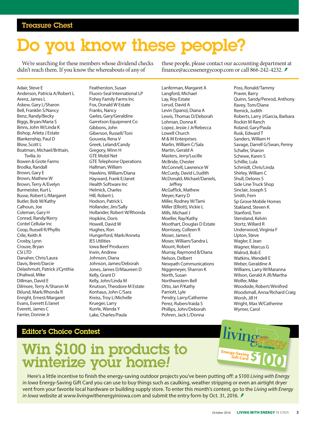# Do you know these people?

We're searching for these members whose dividend checks didn't reach them. If you know the whereabouts of any of

these people, please contact our accounting department at finance@accessenergycoop.com or call 866-242-4232.

Adair, Steve E Anderson, Patricia A/Robert L Arenz, James L Askew, Gary L/Sharon Bell, Franklin S/Nancy Benz, Randy/Becky Biggs, Bryan/Maria S Binns, John W/Linda K Bishop, Arleta J Estate Blankenship, Paul D Blow, Scott L Boatman, Michael/Brittain, Twilia Jo Bowen & Grote Farms Brodka, Randall Brown, Gary E Brown, Mathew W Brown, Terry A/Evelyn Burmeister, Kurt L Busse, Robert L/Margaret Butler, Bob W/Kathy Calhoun, Joe Coleman, Gary H Conrad, Randy/Kerry Contel Cellular Inc Coop, Russell R/Phyllis Crile, Keith A Crosby, Lynn Crouse, Bryan CSI LTD Danaher, Chris/Laura Davis, Brent/Darcie Delashmutt, Patrick J/Cynthia Dhaliwal, Mike Dillman, David E Dilmore, Terry A/Sharon M Eklund, Mark/Rhonda R Enright, Ernest/Margaret Evans, Everett E/Janet Everett, James C Farrier, Donnie Jr

Featherston, Susan Fluoro-Seal International LP Fohey Family Farms Inc Fox, Donald W Estate Franks, Nancy Garles, Gary/Geraldine Garretson Equipment Co Gibbons, John Giberson, Russell/Toni Gouveia, Rena V Greek, Leland/Candy Gregory, Winn H GTE Mobil Net GTE Telephone Operations Hallman, William Hawkins, William/Diana Hayward, Frank E/Janet Health Software Inc Helmick, Charles Hill, Robert L Hodson, Patrick L Hollander, Jim/Sally Hollander, Robert W/Rhonda Hopkins, Doris Howell, David W Hughes, Ron Hungerford, Mark/Anneta IES Utilities Iowa Beef Producers Irwin, Andrew Johnson, Diana Johnson, James/Deborah Jones, James D/Maureen D Kelly, Grant D Kelly, John/Linda M Knutson, Theodore M Estate Konhaus, John C/Sara Kreiss, Troy L/Michelle Krueger, Larry Kurrle, Wanda Y Lake, Charles/Paula

Lanferman, Margaret A Langford, Michael Lay, Roy Estate Lerud, David A Levin (Spano), Diana A Lewis, Thomas D/Deborah Lohman, Donna K Lopez, Jessie J Jr/Rebecca Lowell Church M & M Enterprises Marlin, William C/Sala Martin, Gerald A Masters, Jerry/Lucille McBride, Chester McConnell, Lawrence W McCurdy, David L/Judith McDonald, Michael/Daniels, **Jeffrey** McGaffick, Mathew Meyer, Karry D Miller, Rodney W/Tami Miller (Elliott), Vickie L Mills, Michael J Moeller, Ray/Kathy Moothart, Douglas D Estate Morrissey, Colleen R Moser, James E Moser, William/Sandra L Mount, Robert Murray, Raymond B/Diana Nelson, Delbert Newpath Communications Niggemeyer, Sharron K North, Susan Northwestern Bell Otto, Jan P/Kathy Parriott, Lyle Pendry, Larry/Catherine Perez, Ruben/Iraida S Phillips, John/Deborah Pohren, Jack L/Donna

Poss, Ronald/Tammy Praver, Barry Quinn, Sandy/Penrod, Anthony Ravey, Tom/Diane Remick, Judith Roberts, Larry J/Garcia, Barbara Rockin M Ranch Roland, Gary/Paula Rusk, Edward T Sanders, William H Savage, Darrell G/Swan, Penny Schafer, Sharon Schewe, Karen S Schillie, Lula Schmidt, Chris/Linda Shirley, William C Shull, Delores S Side Line Truck Shop Sinclair, Joseph S Smith, Fern Sp Grove Mobile Homes Stakland, Steven K Stanford, Tom Stensland, Kelvin Stortz, Willard R Underwood, Virginia F Upton, Steve Wagler, E Jean Wagner, Marcus G Walrod, Bob E Watkins, Wendell E Weber, Geraldine A Williams, Larry W/Maranna Wilson, Gerald A JR/Martha Wolfer, Mike Woodside, Robert/Winifred Woodsmall, Anna/Richard Craig Worsh, Jill H Wright, Max W/Catherine Wymer, Carol

### Editor's Choice Contest

# Win \$100 in products to winterize your home*!*

Energy-Saving<br>Gift Card

Here's a little incentive to finish the energy-saving outdoor projects you've been putting off: a \$100 *Living with Energy in Iowa* Energy-Saving Gift Card you can use to buy things such as caulking, weather stripping or even an airtight dryer vent from your favorite local hardware or building supply store. To enter this month's contest, go to the *Living with Energy in lowa* website at www.livingwithenergyiniowa.com and submit the entry form by Oct. 31, 2016. *≸*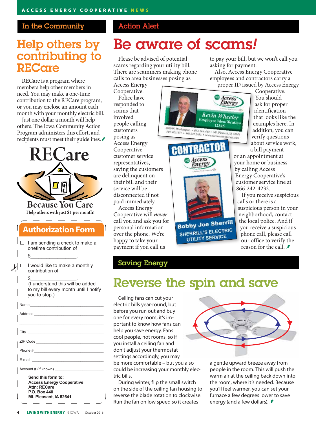### In the Community

### Help others by contributing to **RECare**

RECare is a program where members help other members in need. You may make a one-time contribution to the RECare program, or you may enclose an amount each month with your monthly electric bill.

Just one dollar a month will help others. The Iowa Community Action Program administers this effort, and recipients must meet their guidelines.

**RECare** E **Because You Care** Help others with just \$1 per month! **Authorization Form**  $I \Box$  I am sending a check to make a onetime contribution of \$\_\_\_\_\_\_\_\_\_\_\_\_\_\_\_\_\_\_\_\_\_\_\_\_\_\_\_.  $\mathcal{Y}^{\Box}$  I would like to make a monthly contribution of \$\_\_\_\_\_\_\_\_\_\_\_\_\_\_\_\_\_\_\_\_\_\_\_\_\_\_\_. (I understand this will be added to my bill every month until I notify you to stop.) Name\_\_\_\_\_\_\_\_\_\_\_\_\_\_\_\_\_\_\_\_\_\_\_\_\_\_\_\_\_\_\_\_\_\_\_ Address \_\_\_\_\_\_\_\_\_\_\_\_\_\_\_\_\_\_\_\_\_\_\_\_\_\_\_\_\_\_\_\_\_  $\mathcal{L}_\text{max}$  and  $\mathcal{L}_\text{max}$  and  $\mathcal{L}_\text{max}$  and  $\mathcal{L}_\text{max}$ City \_\_\_\_\_\_\_\_\_\_\_\_\_\_\_\_\_\_\_\_\_\_\_\_\_\_\_\_\_\_\_\_\_\_\_\_ ZIP Code \_\_\_\_\_\_\_\_\_\_\_\_\_\_\_\_\_\_\_\_\_\_\_\_\_\_\_\_\_\_\_\_ Phone #  $E$ -mail  $\overline{a}$ Account # (if known) \_\_\_\_\_\_\_\_\_\_\_\_\_\_\_\_\_\_\_\_\_\_\_ **Send this form to:** 

**Access Energy Cooperative Attn: RECare P.O. Box 440 Mt. Pleasant, IA 52641**

### Action Alert

# Be aware of scams*!*

Please be advised of potential scams regarding your utility bill. There are scammers making phone calls to area businesses posing as

Access Energy Cooperative. Police have responded to scams that involved people calling customers posing as Access Energy Cooperative customer service representatives, saying the customers are delinquent on their bill and their service will be disconnected if not paid immediately.

Access Energy Cooperative will *never* call you and ask you for personal information over the phone. We're happy to take your payment if you call us

### Saving Energy



SHERRILL'S ELECTRIC UTILITY SERVICE

to pay your bill, but we won't call you asking for payment.

Also, Access Energy Cooperative employees and contractors carry a proper ID issued by Access Energy

Cooperative. You should ask for proper identification that looks like the examples here. In addition, you can verify questions about service work, a bill payment

or an appointment at your home or business by calling Access Energy Cooperative's customer service line at 866-242-4232.

If you receive suspicious calls or there is a suspicious person in your neighborhood, contact the local police. And if you receive a suspicious phone call, please call our office to verify the reason for the call.  $\ddot{z}$ 

## Reverse the spin and save

Ceiling fans can cut your electric bills year-round, but before you run out and buy one for every room, it's important to know how fans can help you save energy. Fans cool people, not rooms, so if you install a ceiling fan and don't adjust your thermostat settings accordingly, you may be more comfortable – but you also could be increasing your monthly electric bills.

During winter, flip the small switch on the side of the ceiling fan housing to reverse the blade rotation to clockwise. Run the fan on low speed so it creates



a gentle upward breeze away from people in the room. This will push the warm air at the ceiling back down into the room, where it's needed. Because you'll feel warmer, you can set your furnace a few degrees lower to save energy (and a few dollars). **≢**